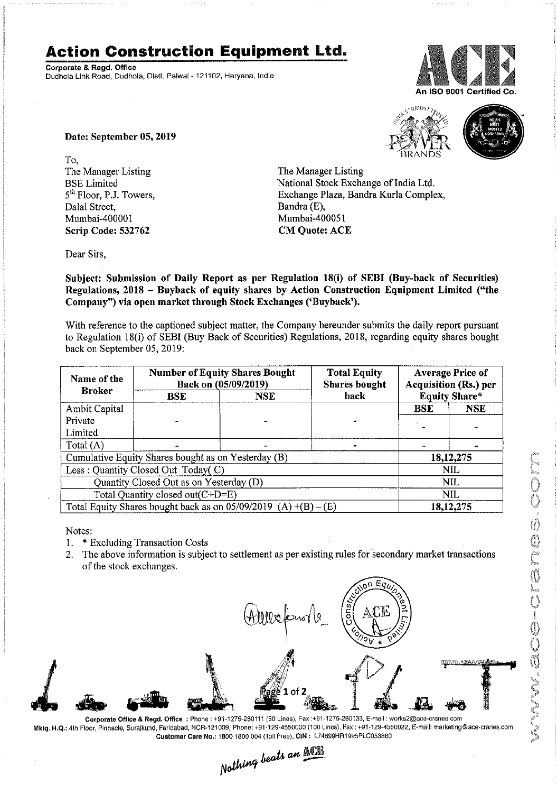## **Action Construction Equipment Ltd.**

Corporate & Regd. Office Dudhola Link Road, Dudhola, Distt. Palwal- 121102, Haryana, India



An ISO 9001 Certified Co.

Date: September 05, 2019

To, The Manager Listing BSE Limited 5<sup>th</sup> Floor, P.J. Towers, Dalal Street, Mumbai-40000I Scrip Code: 532762

The Manager Listing National Stock Exchange of India Ltd. Exchange Plaza, Bandra Kurla Complex, Bandra (E), Mumbai-400051 CM Quote: ACE

Dear Sirs,

Subject: Submission of Daily Report as per Regulation 18(i) of SEBI (Buy-back of Securities) Regulations, 2018 - Buyback of equity shares by Action Construction Equipment Limited ("the Company") via open market through Stock Exchanges ('Buyback').

With reference to the captioned subject matter, the Company hereunder submits the daily report pursuant to Regulation 18(i) of SEBI (Buy Back of Securities) Regulations, 2018, regarding equity shares bought back on September 05, 2019:

| Name of the<br><b>Broker</b>                                      | <b>Number of Equity Shares Bought</b><br>Back on (05/09/2019) |            | <b>Total Equity</b><br><b>Shares</b> bought | <b>Average Price of</b><br><b>Acquisition (Rs.) per</b> |             |  |
|-------------------------------------------------------------------|---------------------------------------------------------------|------------|---------------------------------------------|---------------------------------------------------------|-------------|--|
|                                                                   | <b>BSE</b>                                                    | <b>NSE</b> | back                                        | <b>Equity Share*</b>                                    |             |  |
| Ambit Capital                                                     |                                                               |            |                                             | <b>BSE</b>                                              | <b>NSE</b>  |  |
| Private                                                           |                                                               |            |                                             |                                                         |             |  |
| Limited                                                           |                                                               |            |                                             |                                                         |             |  |
| Total $(A)$                                                       |                                                               |            |                                             |                                                         |             |  |
| Cumulative Equity Shares bought as on Yesterday (B)               |                                                               |            |                                             |                                                         | 18, 12, 275 |  |
| Less: Quantity Closed Out Today(C)                                |                                                               |            |                                             | <b>NIL</b>                                              |             |  |
| Quantity Closed Out as on Yesterday (D)                           |                                                               |            |                                             | NIL                                                     |             |  |
| Total Quantity closed out(C+D=E)                                  |                                                               |            |                                             | <b>NIL</b>                                              |             |  |
| Total Equity Shares bought back as on $05/09/2019$ (A) +(B) – (E) |                                                               |            |                                             | 18, 12, 275                                             |             |  |

Notes:

- 1. \* Excluding Transaction Costs
- 2. The above information is subject to settlement as per existing rules for secondary market transactions of the stock exchanges.



Mktg. H.Q.: 4th Floor, Pinnacle, Surajkund, Faridabad, NCR-121009, Phone: +91-129-4550000 (100 Lines), Fax: +91-129-4550022, E-mail: marketing@ace-cranes.com